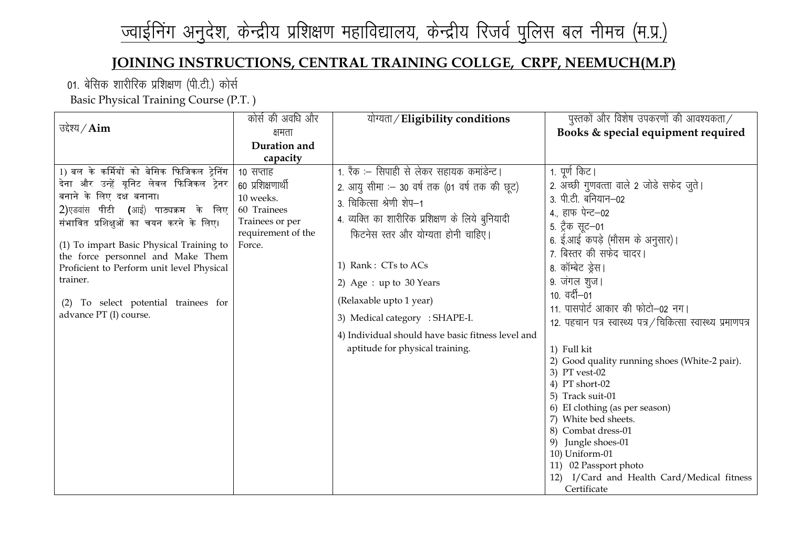# ज्वाईनिंग अनुदेश, केन्द्रीय प्रशिक्षण महाविद्यालय, केन्द्रीय रिजर्व पुलिस बल नीमच (म.प्र.)

### **JOINING INSTRUCTIONS, CENTRAL TRAINING COLLGE, CRPF, NEEMUCH(M.P)**

01. बेसिक शारीरिक प्रशिक्षण (पी.टी.) कोर्स

Basic Physical Training Course (P.T. )

|                                            | कोर्स की अवधि और             | योग्यता / Eligibility conditions                  | पुस्तकों और विशेष उपकरणों की आवश्यकता $/$                     |
|--------------------------------------------|------------------------------|---------------------------------------------------|---------------------------------------------------------------|
| उद्देश्य / $Aim$                           | क्षमता                       |                                                   | Books & special equipment required                            |
|                                            | Duration and                 |                                                   |                                                               |
|                                            | capacity                     |                                                   |                                                               |
| 1) बल के कर्मियों को बेसिक फिजिकल ट्रेनिंग | 10 सप्ताह                    | 1. रैंक :– सिपाही से लेकर सहायक कमांडेन्ट।        | 1. पूर्ण किट।                                                 |
| देना और उन्हें यूनिट लेवल फिजिकल ट्रेनर    | 60 प्रशिक्षणार्थी            | 2. आयु सीमा : - 30 वर्ष तक (01 वर्ष तक की छूट)    | 2. अच्छी गुणवत्ता वाले 2 जोडे सफेद जुते।                      |
| बनाने के लिए दक्ष बनाना।                   | 10 weeks.                    | 3. चिकित्सा श्रेणी शेप-1                          | 3. पी.टी. बनियान–02                                           |
| 2)एडवास पीटी (आई) पाठ्यक्रम के लिए         | 60 Trainees                  | 4. व्यक्ति का शारीरिक प्रशिक्षण के लिये बुनियादी  | 4., हाफ पेन्ट-02                                              |
| संभावित प्रशिक्षुओं का चयन करने के लिए।    | Trainees or per              |                                                   | 5. ट्रैक सूट–01                                               |
| (1) To impart Basic Physical Training to   | requirement of the<br>Force. | फिटनेस स्तर और योग्यता होनी चाहिए।                | 6. ई.आई कपड़े (मौसम के अनुसार)।                               |
| the force personnel and Make Them          |                              |                                                   | 7. बिस्तर की सफेद चादर।                                       |
| Proficient to Perform unit level Physical  |                              | 1) Rank: CTs to ACs                               | 8. कॉम्बेट ड्रेस।                                             |
| trainer.                                   |                              | 2) Age : up to 30 Years                           | 9. जंगल शुज।                                                  |
|                                            |                              |                                                   | 10. वर्दी–01                                                  |
| (2) To select potential trainees for       |                              | (Relaxable upto 1 year)                           | 11. पासपोर्ट आकार की फोटो-02 नग।                              |
| advance PT (I) course.                     |                              | 3) Medical category : SHAPE-I.                    | 12. पहचान पत्र स्वास्थ्य पत्र / चिकित्सा स्वास्थ्य प्रमाणपत्र |
|                                            |                              | 4) Individual should have basic fitness level and |                                                               |
|                                            |                              | aptitude for physical training.                   | 1) Full kit                                                   |
|                                            |                              |                                                   | 2) Good quality running shoes (White-2 pair).                 |
|                                            |                              |                                                   | 3) PT vest-02                                                 |
|                                            |                              |                                                   | 4) PT short-02                                                |
|                                            |                              |                                                   | 5) Track suit-01<br>6) EI clothing (as per season)            |
|                                            |                              |                                                   | 7) White bed sheets.                                          |
|                                            |                              |                                                   | 8) Combat dress-01                                            |
|                                            |                              |                                                   | 9) Jungle shoes-01                                            |
|                                            |                              |                                                   | 10) Uniform-01                                                |
|                                            |                              |                                                   | 11) 02 Passport photo                                         |
|                                            |                              |                                                   | 12) I/Card and Health Card/Medical fitness                    |
|                                            |                              |                                                   | Certificate                                                   |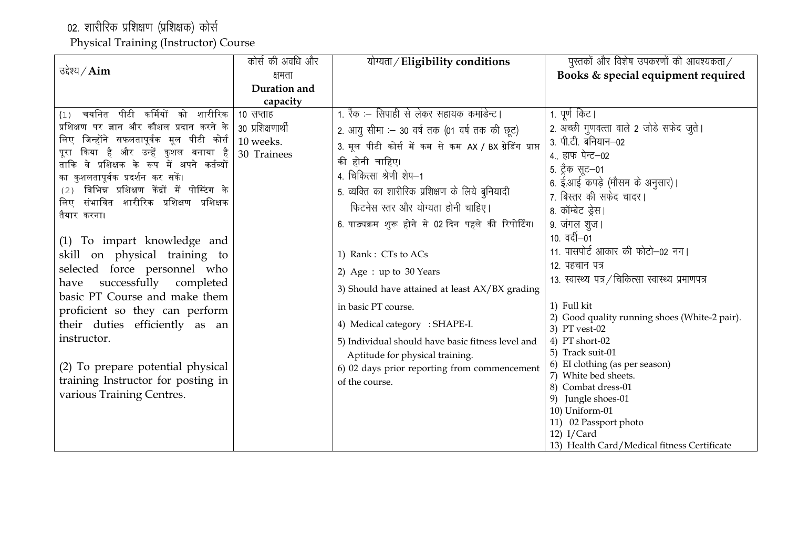02. शारीरिक प्रशिक्षण (प्रशिक्षक) कोर्स

Physical Training (Instructor) Course

|                                                                                  | कोर्स की अवधि और  | योग्यता / Eligibility conditions                        | पुस्तकों और विशेष उपकरणों की आवश्यकता $\angle$                 |
|----------------------------------------------------------------------------------|-------------------|---------------------------------------------------------|----------------------------------------------------------------|
| उद्देश्य / $Aim$                                                                 | क्षमता            |                                                         | Books & special equipment required                             |
|                                                                                  | Duration and      |                                                         |                                                                |
|                                                                                  | capacity          |                                                         |                                                                |
| कर्मियों<br>पीटी<br>चयनित<br>को शारीरिक<br>(1)                                   | 10 सप्ताह         | 1. रैंक :– सिपाही से लेकर सहायक कमांडेन्ट।              | 1. पूर्ण किट।                                                  |
| प्रशिक्षण पर ज्ञान और कौशल प्रदान करने के                                        | 30 प्रशिक्षणार्थी | 2. आयु सीमा : - 30 वर्ष तक (01 वर्ष तक की छूट)          | 2. अच्छी गुणवत्ता वाले 2 जोडे सफेद जुते।                       |
| लिए जिन्होंने सफलतापूर्वक मूल पीटी कोर्स                                         | 10 weeks.         | 3. मूल पीटी कोर्स में कम से कम AX / BX ग्रेडिंग प्राप्त | 3. पी.टी. बनियान–02                                            |
| किया है और उन्हें कुशल बनाया है<br>परा                                           | 30 Trainees       | की होनी चाहिए।                                          | 4., हाफ पेन्ट-02                                               |
| ताकि वे प्रशिक्षक के रूप में अपने कर्तव्यों<br>का कुशलतापूर्वक प्रदर्शन कर सकें। |                   | 4. चिकित्सा श्रेणी शेप-1                                | 5. ट्रैक सूट–01                                                |
| विभिन्न प्रशिक्षण केंद्रों में पोस्टिंग के<br>(2)                                |                   |                                                         | 6. ई.आई कपड़े (मौसम के अनुसार)।                                |
| संभावित शारीरिक प्रशिक्षण प्रशिक्षक<br>लिए                                       |                   | 5. व्यक्ति का शारीरिक प्रशिक्षण के लिये बुनियादी        | 7. बिस्तर की सफेद चादर।                                        |
| तैयार करना।                                                                      |                   | फिटनेस स्तर और योग्यता होनी चाहिए।                      | 8. कॉम्बेट ड्रेस।                                              |
|                                                                                  |                   | 6. पाठ्यक्रम शुरू होने से 02 दिन पहले की रिपोर्टिंग।    | 9. जंगल शुज।                                                   |
| (1) To impart knowledge and                                                      |                   |                                                         | $10.$ वर्दी $-01$                                              |
| skill on physical training to                                                    |                   | 1) Rank: CTs to ACs                                     | 11. पासपोर्ट आकार की फोटो-02 नग।                               |
| selected force personnel who                                                     |                   | 2) Age : up to 30 Years                                 | 12. पहचान पत्र                                                 |
| successfully completed<br>have                                                   |                   |                                                         | 13. स्वास्थ्य पत्र / चिकित्सा स्वास्थ्य प्रमाणपत्र             |
| basic PT Course and make them                                                    |                   | 3) Should have attained at least AX/BX grading          |                                                                |
| proficient so they can perform                                                   |                   | in basic PT course.                                     | 1) Full kit                                                    |
| their duties efficiently as an                                                   |                   | 4) Medical category : SHAPE-I.                          | 2) Good quality running shoes (White-2 pair).<br>3) PT vest-02 |
| instructor.                                                                      |                   | 5) Individual should have basic fitness level and       | 4) PT short-02                                                 |
|                                                                                  |                   | Aptitude for physical training.                         | 5) Track suit-01                                               |
| (2) To prepare potential physical                                                |                   | 6) 02 days prior reporting from commencement            | 6) EI clothing (as per season)                                 |
| training Instructor for posting in                                               |                   | of the course.                                          | 7) White bed sheets.                                           |
| various Training Centres.                                                        |                   |                                                         | 8) Combat dress-01                                             |
|                                                                                  |                   |                                                         | 9) Jungle shoes-01<br>10) Uniform-01                           |
|                                                                                  |                   |                                                         | 11) 02 Passport photo                                          |
|                                                                                  |                   |                                                         | $12)$ I/Card                                                   |
|                                                                                  |                   |                                                         | 13) Health Card/Medical fitness Certificate                    |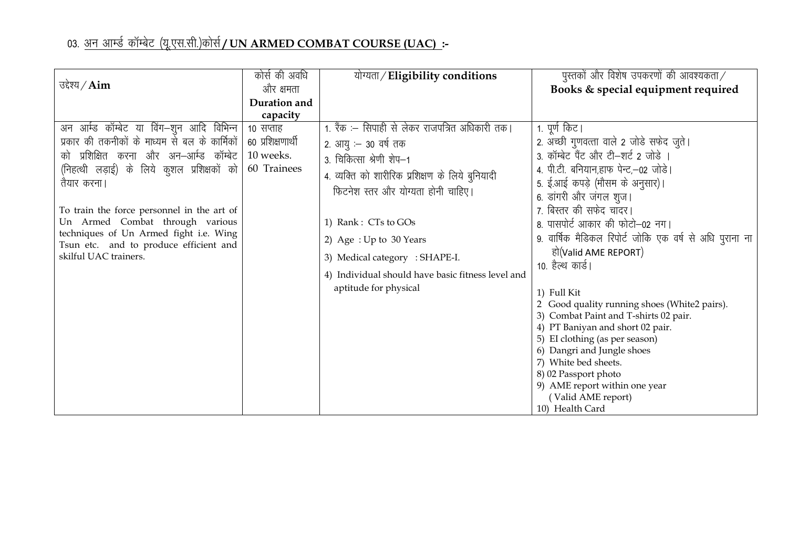## 03. <u>अन आर्म्ड कॉम्बेट (यू.एस.सी.)कोर्स**/UN ARMED COMBAT COURSE (UAC):**-</u>

|                                                | कोर्स की अवधि     | योग्यता/Eligibility conditions                    | पुस्तकों और विशेष उपकरणों की आवश्यकता $\angle$          |
|------------------------------------------------|-------------------|---------------------------------------------------|---------------------------------------------------------|
| उद्देश्य / $Aim$                               | और क्षमता         |                                                   | Books & special equipment required                      |
|                                                | Duration and      |                                                   |                                                         |
|                                                |                   |                                                   |                                                         |
|                                                | capacity          | 1. रैंक :– सिपाही से लेकर राजपत्रित अधिकारी तक।   |                                                         |
| अन आर्म्ड कॉम्बेट या विंग–शुन आदि विभिन्न      | 10 सप्ताह         |                                                   | 1. पूर्ण किट।                                           |
| प्रकार की तकनीकों के माध्यम से बल के कार्मिकों | 60 प्रशिक्षणार्थी | 2. आयु :– 30 वर्ष तक                              | 2. अच्छी गुणवत्ता वाले 2 जोडे सफेद जुते।                |
| को प्रशिक्षित करना और अन–आर्म्ड कॉम्बेट        | 10 weeks.         | 3. चिकित्सा श्रेणी शेप-1                          | 3. कॉम्बेट पैंट और टी-शर्ट 2 जोड़े ।                    |
| (निहत्थी लड़ाई) के लिये कुशल प्रशिक्षकों को    | 60 Trainees       | 4. व्यक्ति को शारीरिक प्रशिक्षण के लिये बुनियादी  | 4. पी.टी. बनियान,हाफ पेन्ट,-02 जोड़े।                   |
| तैयार करना।                                    |                   | फिटनेश स्तर और योग्यता होनी चाहिए।                | 5. ई.आई कपड़े (मौसम के अनुसार)।                         |
|                                                |                   |                                                   | 6. डांगरी और जंगल शुज।                                  |
| To train the force personnel in the art of     |                   |                                                   | 7. बिस्तर की सफेद चादर।                                 |
| Un Armed Combat through various                |                   | 1) Rank: CTs to GOs                               | 8. पासपोर्ट आकार की फोटो-02 नग।                         |
| techniques of Un Armed fight i.e. Wing         |                   | 2) Age: Up to 30 Years                            | 9. वार्षिक मैडिकल रिपोर्ट जोकि एक वर्ष से अधि पुराना ना |
| Tsun etc. and to produce efficient and         |                   |                                                   | हो(Valid AME REPORT)                                    |
| skilful UAC trainers.                          |                   | 3) Medical category : SHAPE-I.                    | 10. हैल्थ कार्ड।                                        |
|                                                |                   | 4) Individual should have basic fitness level and |                                                         |
|                                                |                   | aptitude for physical                             | 1) Full Kit                                             |
|                                                |                   |                                                   | 2 Good quality running shoes (White2 pairs).            |
|                                                |                   |                                                   | 3) Combat Paint and T-shirts 02 pair.                   |
|                                                |                   |                                                   | 4) PT Baniyan and short 02 pair.                        |
|                                                |                   |                                                   | 5) EI clothing (as per season)                          |
|                                                |                   |                                                   | 6) Dangri and Jungle shoes                              |
|                                                |                   |                                                   | 7) White bed sheets.                                    |
|                                                |                   |                                                   | 8) 02 Passport photo                                    |
|                                                |                   |                                                   | 9) AME report within one year                           |
|                                                |                   |                                                   | (Valid AME report)                                      |
|                                                |                   |                                                   | 10) Health Card                                         |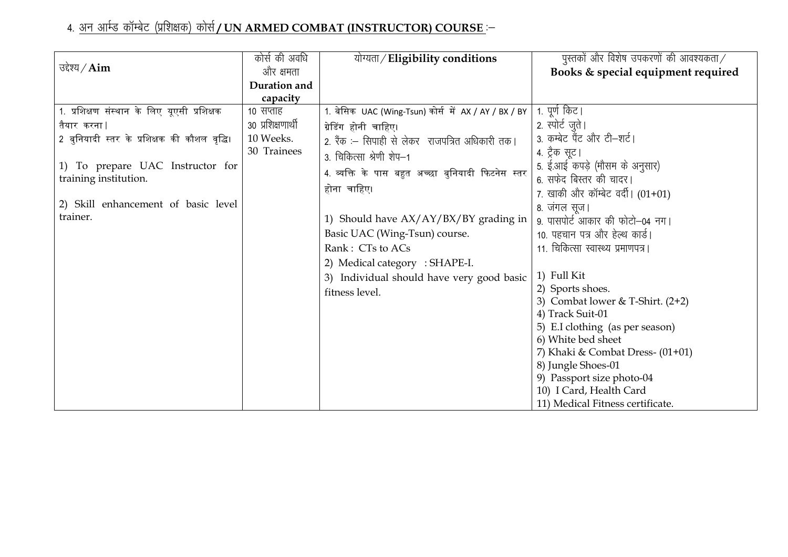## 4. <u>अन आर्म्ड कॉम्बेट (प्रशिक्षक) कोर्स**/UN ARMED COMBAT (INSTRUCTOR) COURSE** :-</u>

|                                              | कोर्स की अवधि     | योग्यता/Eligibility conditions                       | पुस्तकों और विशेष उपकरणों की आवश्यकता $\angle$ |
|----------------------------------------------|-------------------|------------------------------------------------------|------------------------------------------------|
| उद्देश्य $\angle$ Aim                        | और क्षमता         |                                                      | Books & special equipment required             |
|                                              | Duration and      |                                                      |                                                |
|                                              | capacity          |                                                      |                                                |
| 1. प्रशिक्षण संस्थान के लिए यूएसी प्रशिक्षक  | 10 सप्ताह         | 1. बेसिक UAC (Wing-Tsun) कोर्स में AX / AY / BX / BY | 1. पूर्ण किट।                                  |
| तैयार करना                                   | 30 प्रशिक्षणार्थी | ग्रेडिंग होनी चाहिए।                                 | 2. स्पोर्ट जूते।                               |
| 2 बुनियादी स्तर के प्रशिक्षक की कौशल वृद्धि। | 10 Weeks.         | 2. रैंक :– सिपाही से लेकर राजपत्रित अधिकारी तक।      | 3. कम्बेट पैंट और टी-शर्ट।                     |
|                                              | 30 Trainees       | 3. चिकित्सा श्रेणी शेप-1                             | 4. ट्रैक सूट।                                  |
| 1) To prepare UAC Instructor for             |                   |                                                      | 5. ई.आई कपड़े (मौसम के अनुसार)                 |
| training institution.                        |                   | 4. व्यक्ति के पास बहुत अच्छा बुनियादी फिटनेस स्तर    | 6. सफेद बिस्तर की चादर।                        |
|                                              |                   | होना चाहिए।                                          | 7. खाकी और कॉम्बेट वर्दी। $(01+01)$            |
| 2) Skill enhancement of basic level          |                   |                                                      | 8. जंगल सूज।                                   |
| trainer.                                     |                   | 1) Should have AX/AY/BX/BY grading in                | 9. पासपोर्ट आकार की फोटो-04 नग।                |
|                                              |                   | Basic UAC (Wing-Tsun) course.                        | 10. पहचान पत्र और हेल्थ कार्ड।                 |
|                                              |                   | Rank: CTs to ACs                                     | 11. चिकित्सा स्वास्थ्य प्रमाणपत्र।             |
|                                              |                   | 2) Medical category : SHAPE-I.                       |                                                |
|                                              |                   | 3) Individual should have very good basic            | 1) Full Kit                                    |
|                                              |                   | fitness level.                                       | 2) Sports shoes.                               |
|                                              |                   |                                                      | 3) Combat lower & T-Shirt. $(2+2)$             |
|                                              |                   |                                                      | 4) Track Suit-01                               |
|                                              |                   |                                                      | 5) E.I clothing (as per season)                |
|                                              |                   |                                                      | 6) White bed sheet                             |
|                                              |                   |                                                      | 7) Khaki & Combat Dress- $(01+01)$             |
|                                              |                   |                                                      | 8) Jungle Shoes-01                             |
|                                              |                   |                                                      | 9) Passport size photo-04                      |
|                                              |                   |                                                      | 10) I Card, Health Card                        |
|                                              |                   |                                                      | 11) Medical Fitness certificate.               |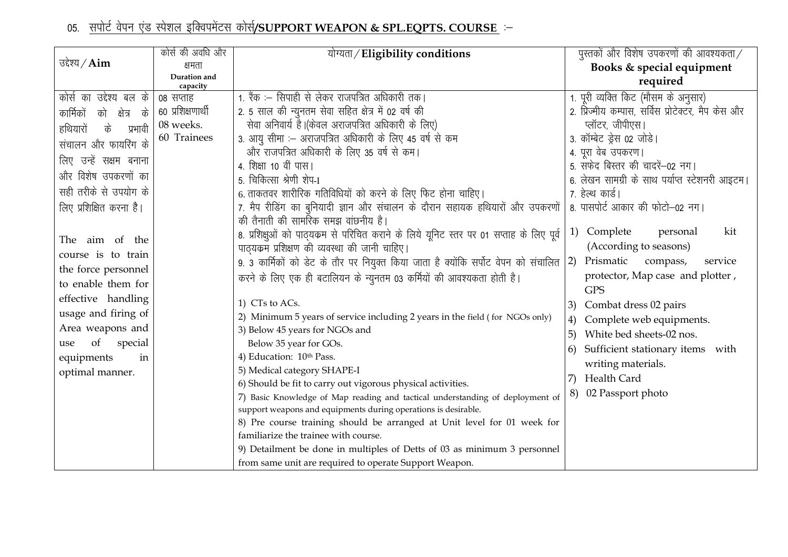## 05. सपोर्ट वेपन एंड स्पेशल इक्विपमेंटस कोर्स/SUPPORT WEAPON & SPL.EQPTS. COURSE

|                                  | कोर्स की अवधि और         | योग्यता / Eligibility conditions                                                                                                          | पुस्तकों और विशेष उपकरणों की आवश्यकता $/$          |
|----------------------------------|--------------------------|-------------------------------------------------------------------------------------------------------------------------------------------|----------------------------------------------------|
| उद्देश्य / $\text{Aim}$          | क्षमता                   |                                                                                                                                           | Books & special equipment                          |
|                                  | Duration and<br>capacity |                                                                                                                                           | required                                           |
| कोर्स का उद्देश्य बल के          | ०८ सप्ताह                | 1. रैंक :– सिपाही से लेकर राजपत्रित अधिकारी तक।                                                                                           | 1. पूरी व्यक्ति किट (मौसम के अनुसार)               |
| के<br>कार्मिकों<br>को<br>क्षेत्र | 60 प्रशिक्षणार्थी        | 2. 5 साल की न्युनतम सेवा सहित क्षेत्र में 02 वर्ष की                                                                                      | 2. प्रिज्मीय कम्पास, सर्विस प्रोटेक्टर, मैप केस और |
| के<br>प्रभावी<br>हथियारों        | 08 weeks.                | सेवा अनिवार्य है। (केवल अराजपत्रित अधिकारी के लिए)                                                                                        | प्लॉटर, जीपीएस।                                    |
| संचालन और फायरिंग के             | 60 Trainees              | 3. आयु सीमा :– अराजपत्रित अधिकारी के लिए 45 वर्ष से कम                                                                                    | 3. कॉम्बेट ड्रेस 02 जोडे।                          |
| लिए उन्हें सक्षम बनाना           |                          | और राजपत्रित अधिकारी के लिए 35 वर्ष से कम।                                                                                                | 4. पूरा वेब उपकरण।                                 |
|                                  |                          | 4. शिक्षा 10 वीं पास।                                                                                                                     | 5. सफेद बिस्तर की चादरें-02 नग।                    |
| और विशेष उपकरणों का              |                          | 5. चिकित्सा श्रेणी शेप-I                                                                                                                  | 6. लेखन सामग्री के साथ पर्याप्त स्टेशनरी आइटम।     |
| सही तरीके से उपयोग के            |                          | 6. ताकतवर शारीरिक गतिविधियों को करने के लिए फिट होना चाहिए।                                                                               | 7. हेल्थ कार्ड।                                    |
| लिए प्रशिक्षित करना है।          |                          | 7. मैप रीडिंग का बुनियादी ज्ञान और संचालन के दौरान सहायक हथियारों और उपकरणों                                                              | 8. पासपोर्ट आकार की फोटो-02 नग।                    |
|                                  |                          | की तैनाती की सामरिक समझ वांछनीय है।                                                                                                       | kit<br>Complete<br>personal                        |
| The aim of the                   |                          | 8. प्रशिक्षुओं को पाठ्यक्रम से परिचित कराने के लिये यूनिट स्तर पर 01 सप्ताह के लिए पूर्व                                                  | 1)                                                 |
| course is to train               |                          | पाठ्यक्रम प्रशिक्षण की व्यवस्था की जानी चाहिए।                                                                                            | (According to seasons)                             |
| the force personnel              |                          | 9. 3 कार्मिकों को डेट के तौर पर नियुक्त किया जाता है क्योंकि सर्पोट वेपन को संचालित                                                       | Prismatic<br> 2)<br>compass,<br>service            |
| to enable them for               |                          | करने के लिए एक ही बटालियन के न्युनतम 03 कर्मियों की आवश्यकता होती है।                                                                     | protector, Map case and plotter,<br><b>GPS</b>     |
| effective handling               |                          | 1) CTs to ACs.                                                                                                                            | Combat dress 02 pairs<br>3)                        |
| usage and firing of              |                          | 2) Minimum 5 years of service including 2 years in the field (for NGOs only)                                                              | Complete web equipments.<br>4)                     |
| Area weapons and                 |                          | 3) Below 45 years for NGOs and                                                                                                            | White bed sheets-02 nos.<br>5)                     |
| special<br>of<br>use             |                          | Below 35 year for GOs.                                                                                                                    | Sufficient stationary items with<br>6)             |
| equipments<br>in                 |                          | 4) Education: 10th Pass.                                                                                                                  | writing materials.                                 |
| optimal manner.                  |                          | 5) Medical category SHAPE-I                                                                                                               | Health Card<br>7)                                  |
|                                  |                          | 6) Should be fit to carry out vigorous physical activities.                                                                               | 02 Passport photo<br>8)                            |
|                                  |                          | 7) Basic Knowledge of Map reading and tactical understanding of deployment of                                                             |                                                    |
|                                  |                          | support weapons and equipments during operations is desirable.<br>8) Pre course training should be arranged at Unit level for 01 week for |                                                    |
|                                  |                          | familiarize the trainee with course.                                                                                                      |                                                    |
|                                  |                          | 9) Detailment be done in multiples of Detts of 03 as minimum 3 personnel                                                                  |                                                    |
|                                  |                          | from same unit are required to operate Support Weapon.                                                                                    |                                                    |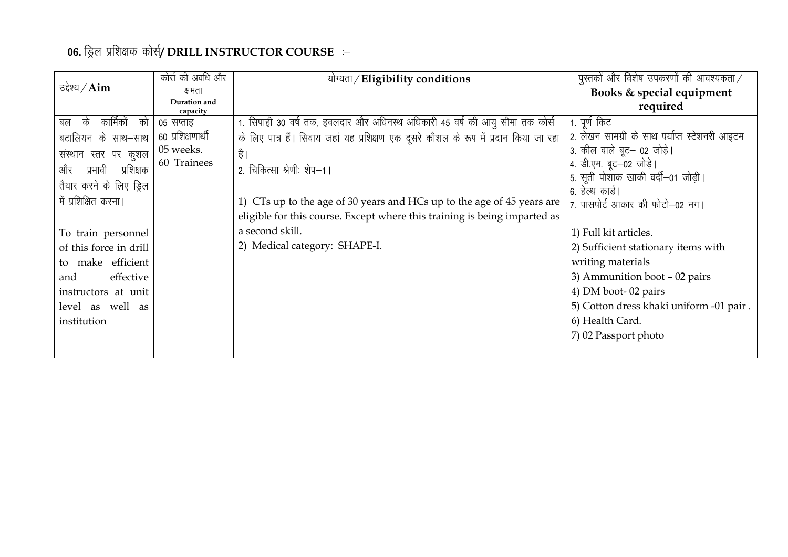### 06. ड्रिल प्रशिक्षक कोर्स/ DRILL INSTRUCTOR COURSE :-

|                             | कोर्स की अवधि और         | योग्यता / Eligibility conditions                                                      | पुस्तकों और विशेष उपकरणों की आवश्यकता $/$     |
|-----------------------------|--------------------------|---------------------------------------------------------------------------------------|-----------------------------------------------|
| उद्देश्य $\angle$ Aim       | क्षमता                   |                                                                                       | Books & special equipment                     |
|                             | Duration and<br>capacity |                                                                                       | required                                      |
| कार्मिकों<br>के<br>को<br>बल | 05 सप्ताह                | 1. सिपाही 30 वर्ष तक, हवलदार और अधिनस्थ अधिकारी 45 वर्ष की आयु सीमा तक कोर्स          | 1. पूर्ण किट                                  |
| बटालियन के साथ–साथ          | 60 प्रशिक्षणार्थी        | के लिए पात्र हैं। सिवाय जहां यह प्रशिक्षण एक दूसरे कौशल के रूप में प्रदान किया जा रहा | 2. लेखन सामग्री के साथ पर्याप्त स्टेशनरी आइटम |
| संस्थान स्तर पर कुशल        | 05 weeks.                | है ।                                                                                  | 3. कील वाले बूट– 02 जोड़े।                    |
| प्रशिक्षक<br>और<br>प्रभावी  | 60 Trainees              | 2. चिकित्सा श्रेणीः शेप–1।                                                            | 4. डी.एम. बूट-02 जोड़े।                       |
| तैयार करने के लिए ड्रिल     |                          |                                                                                       | 5. सूती पोशाक खाकी वर्दी–01 जोड़ी।            |
| में प्रशिक्षित करना।        |                          | 1) CTs up to the age of 30 years and HCs up to the age of 45 years are                | 6. हेल्थ कार्ड।                               |
|                             |                          |                                                                                       | 7. पासपोर्ट आकार की फोटो-02 नग।               |
|                             |                          | eligible for this course. Except where this training is being imparted as             |                                               |
| To train personnel          |                          | a second skill.                                                                       | 1) Full kit articles.                         |
| of this force in drill      |                          | 2) Medical category: SHAPE-I.                                                         | 2) Sufficient stationary items with           |
| to make efficient           |                          |                                                                                       | writing materials                             |
| effective<br>and            |                          |                                                                                       | 3) Ammunition boot $-02$ pairs                |
| instructors at unit         |                          |                                                                                       | 4) DM boot-02 pairs                           |
| level as well as            |                          |                                                                                       | 5) Cotton dress khaki uniform -01 pair.       |
| institution                 |                          |                                                                                       | 6) Health Card.                               |
|                             |                          |                                                                                       | 7) 02 Passport photo                          |
|                             |                          |                                                                                       |                                               |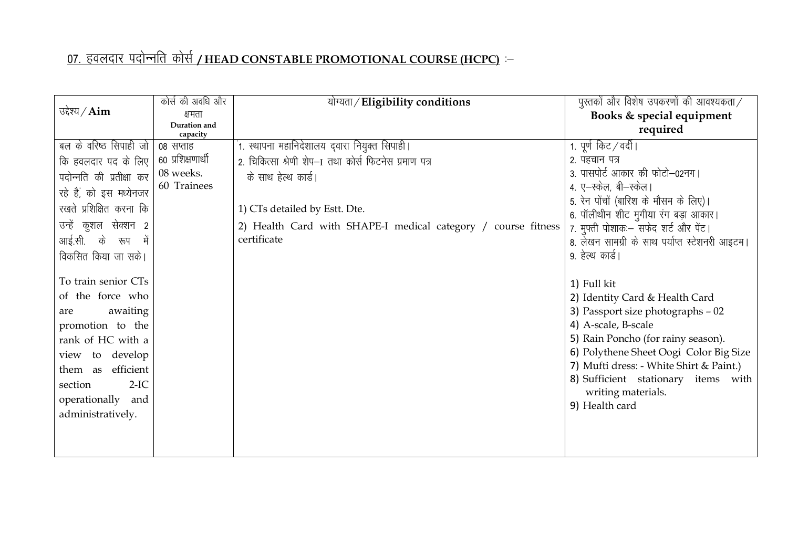## <u>07. हवलदार पदोन्नति कोर्स /HEAD CONSTABLE PROMOTIONAL COURSE (HCPC)</u> :–

|                          | कोर्स की अवधि और         | योग्यता / Eligibility conditions                              | पुस्तकों और विशेष उपकरणों की आवश्यकता $/$                                      |
|--------------------------|--------------------------|---------------------------------------------------------------|--------------------------------------------------------------------------------|
| उद्देश्य $\angle$ Aim    | क्षमता                   |                                                               | Books & special equipment                                                      |
|                          | Duration and<br>capacity |                                                               | required                                                                       |
| बल के वरिष्ट सिपाही जो   | ०८ सप्ताह                | ं1. स्थापना महानिदेशालय द्वारा नियुक्त सिपाही।                | 1. पूर्ण किट / वर्दी                                                           |
| कि हवलदार पद के लिए      | ६० प्रशिक्षणार्थी        | 2. चिकित्सा श्रेणी शेप-1 तथा कोर्स फिटनेस प्रमाण पत्र         | 2. पहचान पत्र                                                                  |
| पदोन्नति की प्रतीक्षा कर | 08 weeks.                | के साथ हेल्थ कार्ड।                                           | 3. पासपोर्ट आकार की फोटो-02नग।                                                 |
| रहे हैं, को इस मध्येनजर  | 60 Trainees              |                                                               | 4. ए–स्केल, बी–स्केल।                                                          |
| रखते प्रशिक्षित करना कि  |                          | 1) CTs detailed by Estt. Dte.                                 | 5. रेन पोंचों (बारिश के मौसम के लिए)।                                          |
| उन्हें कुशल सेक्शन 2     |                          | 2) Health Card with SHAPE-I medical category / course fitness | 6. पॉलीथीन शीट मुगीया रंग बड़ा आकार।<br>7. मुफ्ती पोशाकः- सफेद शर्ट और पेंट।   |
| आई.सी. के रूप में        |                          | certificate                                                   | 8. लेखन सामग्री के साथ पर्याप्त स्टेशनरी आइटम।                                 |
| विकसित किया जा सके।      |                          |                                                               | 9. हेल्थ कार्ड।                                                                |
|                          |                          |                                                               |                                                                                |
| To train senior CTs      |                          |                                                               | 1) Full kit                                                                    |
| of the force who         |                          |                                                               | 2) Identity Card & Health Card                                                 |
| awaiting<br>are          |                          |                                                               | 3) Passport size photographs - 02                                              |
| promotion to the         |                          |                                                               | 4) A-scale, B-scale                                                            |
| rank of HC with a        |                          |                                                               | 5) Rain Poncho (for rainy season).                                             |
| view to develop          |                          |                                                               | 6) Polythene Sheet Oogi Color Big Size                                         |
| efficient<br>them as     |                          |                                                               | 7) Mufti dress: - White Shirt & Paint.)<br>8) Sufficient stationary items with |
| $2-IC$<br>section        |                          |                                                               | writing materials.                                                             |
| operationally and        |                          |                                                               | 9) Health card                                                                 |
| administratively.        |                          |                                                               |                                                                                |
|                          |                          |                                                               |                                                                                |
|                          |                          |                                                               |                                                                                |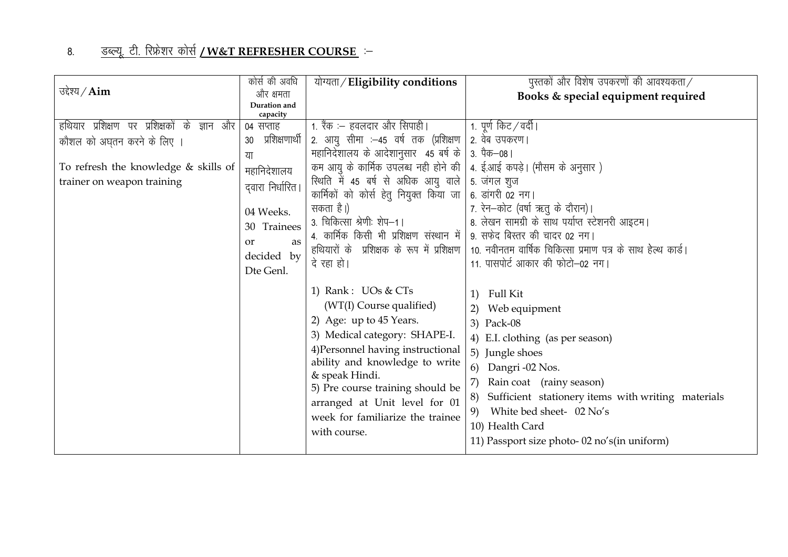#### <u>डब्ल्यू. टी. रिफ्रेशर कोर्स **/W&T REFRESHER COURSE**ं–</u> 8.

|                                                   | कोर्स की अवधि            | योग्यता / Eligibility conditions                                                                                                                                                                                                                                                                                             | पुस्तकों और विशेष उपकरणों की आवश्यकता $\angle$                                                                                                                                                                                                                                                                                   |
|---------------------------------------------------|--------------------------|------------------------------------------------------------------------------------------------------------------------------------------------------------------------------------------------------------------------------------------------------------------------------------------------------------------------------|----------------------------------------------------------------------------------------------------------------------------------------------------------------------------------------------------------------------------------------------------------------------------------------------------------------------------------|
| उद्देश्य $\angle$ Aim                             | और क्षमता                |                                                                                                                                                                                                                                                                                                                              | Books & special equipment required                                                                                                                                                                                                                                                                                               |
|                                                   | Duration and<br>capacity |                                                                                                                                                                                                                                                                                                                              |                                                                                                                                                                                                                                                                                                                                  |
| हथियार प्रशिक्षण पर प्रशिक्षकों के<br>और<br>ज्ञान | 04 सप्ताह                | 1. रैंक :– हवलदार और सिपाही।                                                                                                                                                                                                                                                                                                 | 1. पूर्ण किट ⁄ वर्दी।                                                                                                                                                                                                                                                                                                            |
| कौशल को अघुतन करने के लिए ।                       | प्रशिक्षणार्थी<br>30     | 2. आयु सीमा :—45 वर्ष तक (प्रशिक्षण                                                                                                                                                                                                                                                                                          | २. वेब उपकरण।                                                                                                                                                                                                                                                                                                                    |
|                                                   | या                       | महानिदेशालय के आदेशानुसार 45 बर्ष के                                                                                                                                                                                                                                                                                         | 3. पैक—08                                                                                                                                                                                                                                                                                                                        |
| To refresh the knowledge & skills of              | महानिदेशालय              | कम आयु के कार्मिक उपलब्ध नही होने की   4. ई.आई कपड़े। (मौसम के अनुसार)                                                                                                                                                                                                                                                       |                                                                                                                                                                                                                                                                                                                                  |
| trainer on weapon training                        | दवारा निर्धारित।         | रिथति में 45 बर्ष से अधिक आयु वाले                                                                                                                                                                                                                                                                                           | 5. जंगल शुज                                                                                                                                                                                                                                                                                                                      |
|                                                   |                          | कार्मिकों को कोर्स हेतु नियुक्त किया जा                                                                                                                                                                                                                                                                                      | 6. डांगरी 02 नग।                                                                                                                                                                                                                                                                                                                 |
|                                                   | 04 Weeks.                | सकता है।)                                                                                                                                                                                                                                                                                                                    | 7. रेन-कोट (वर्षा ऋतु के दौरान)।                                                                                                                                                                                                                                                                                                 |
|                                                   | 30 Trainees              | 3. चिकित्सा श्रेणीः शेप-1।                                                                                                                                                                                                                                                                                                   | 8. लेखन सामग्री के साथ पर्याप्त स्टेशनरी आइटम।                                                                                                                                                                                                                                                                                   |
|                                                   | as<br>or                 | 4. कार्मिक किसी भी प्रशिक्षण संस्थान में                                                                                                                                                                                                                                                                                     | 9. सफेद बिस्तर की चादर 02 नग।                                                                                                                                                                                                                                                                                                    |
|                                                   | decided by               |                                                                                                                                                                                                                                                                                                                              | हथियारों के प्रशिक्षक के रूप में प्रशिक्षण   10. नवीनतम वार्षिक चिकित्सा प्रमाण पत्र के साथ हेल्थ कार्ड।                                                                                                                                                                                                                         |
|                                                   | Dte Genl.                | दे रहा हो।                                                                                                                                                                                                                                                                                                                   | 11. पासपोर्ट आकार की फोटो–02 नग।                                                                                                                                                                                                                                                                                                 |
|                                                   |                          | 1) Rank: UOs & CTs<br>(WT(I) Course qualified)<br>2) Age: up to 45 Years.<br>3) Medical category: SHAPE-I.<br>4) Personnel having instructional<br>ability and knowledge to write<br>& speak Hindi.<br>5) Pre course training should be<br>arranged at Unit level for 01<br>week for familiarize the trainee<br>with course. | Full Kit<br>1)<br>2) Web equipment<br>3) Pack-08<br>4) E.I. clothing (as per season)<br>5) Jungle shoes<br>6) Dangri -02 Nos.<br>7)<br>Rain coat (rainy season)<br>Sufficient stationery items with writing materials<br>8)<br>White bed sheet- 02 No's<br>9)<br>10) Health Card<br>11) Passport size photo-02 no's (in uniform) |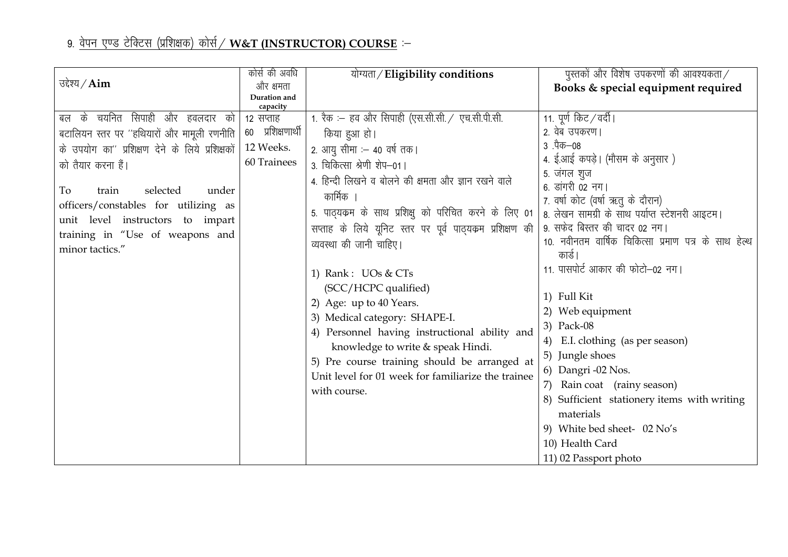### 9. <u>वेपन एण्ड टेक्टिस (प्रशिक्षक) कोर्स / W&T (INSTRUCTOR) COURSE</u> :–

|                                                                                                                                                                                                                                                                                                                                    | कोर्स की अवधि                                                          | योग्यता/Eligibility conditions                                                                                                                                                                                                                                                                                                                                                                                                                                                                                                                                                                                                                                      | पुस्तकों और विशेष उपकरणों की आवश्यकता $\angle$                                                                                                                                                                                                                                                                                                                                                                                                                                                                                                                                                                                         |
|------------------------------------------------------------------------------------------------------------------------------------------------------------------------------------------------------------------------------------------------------------------------------------------------------------------------------------|------------------------------------------------------------------------|---------------------------------------------------------------------------------------------------------------------------------------------------------------------------------------------------------------------------------------------------------------------------------------------------------------------------------------------------------------------------------------------------------------------------------------------------------------------------------------------------------------------------------------------------------------------------------------------------------------------------------------------------------------------|----------------------------------------------------------------------------------------------------------------------------------------------------------------------------------------------------------------------------------------------------------------------------------------------------------------------------------------------------------------------------------------------------------------------------------------------------------------------------------------------------------------------------------------------------------------------------------------------------------------------------------------|
| उद्देश्य / $Aim$                                                                                                                                                                                                                                                                                                                   | और क्षमता                                                              |                                                                                                                                                                                                                                                                                                                                                                                                                                                                                                                                                                                                                                                                     | Books & special equipment required                                                                                                                                                                                                                                                                                                                                                                                                                                                                                                                                                                                                     |
|                                                                                                                                                                                                                                                                                                                                    | Duration and                                                           |                                                                                                                                                                                                                                                                                                                                                                                                                                                                                                                                                                                                                                                                     |                                                                                                                                                                                                                                                                                                                                                                                                                                                                                                                                                                                                                                        |
| सिपाही और हवलदार को<br>के चयनित<br>बल<br>बटालियन स्तर पर "हथियारों और मामूली रणनीति<br>के उपयोग का" प्रशिक्षण देने के लिये प्रशिक्षकों<br>को तैयार करना हैं।<br>selected<br>To<br>under<br>train<br>officers/constables for utilizing as<br>unit level instructors to impart<br>training in "Use of weapons and<br>minor tactics." | capacity<br>12 सप्ताह<br>६० प्रशिक्षणार्थी<br>12 Weeks.<br>60 Trainees | 1. रैक :– हव और सिपाही (एस.सी.सी. / एच.सी.पी.सी.<br>किया हुआ हो।<br>2. आयु सीमा : 40 वर्ष तक।<br>3. चिकित्सा श्रेणी शेप-01  <br>4. हिन्दी लिखने व बोलने की क्षमता और ज्ञान रखने वाले<br>कार्मिक<br>5. पाठ्यकम के साथ प्रशिक्षु को परिचित करने के लिए 01<br>सप्ताह के लिये यूनिट स्तर पर पूर्व पाठ्यकम प्रशिक्षण की<br>व्यवस्था की जानी चाहिए।<br>1) Rank: UOs & CTs<br>(SCC/HCPC qualified)<br>2) Age: up to 40 Years.<br>3) Medical category: SHAPE-I.<br>4) Personnel having instructional ability and<br>knowledge to write & speak Hindi.<br>5) Pre course training should be arranged at<br>Unit level for 01 week for familiarize the trainee<br>with course. | 11. पूर्ण किट / वर्दी  <br>2. वेब उपकरण।<br>3 .पैक—08<br>4. ई.आई कपड़े। (मौसम के अनुसार )<br>5. जंगल शुज<br>6. डांगरी 02 नग।<br>7. वर्षा कोट (वर्षा ऋतु के दौरान)<br>8. लेखन सामग्री के साथ पर्याप्त स्टेशनरी आइटम।<br>9. सफेद बिस्तर की चादर 02 नग।<br>10. नवीनतम वार्षिक चिकित्सा प्रमाण पत्र के साथ हेल्थ<br>कार्ड ।<br>11. पासपोर्ट आकार की फोटो-02 नग।<br>1) Full Kit<br>2) Web equipment<br>3) Pack-08<br>4) E.I. clothing (as per season)<br>5) Jungle shoes<br>6) Dangri -02 Nos.<br>7) Rain coat (rainy season)<br>8) Sufficient stationery items with writing<br>materials<br>9) White bed sheet- 02 No's<br>10) Health Card |
|                                                                                                                                                                                                                                                                                                                                    |                                                                        |                                                                                                                                                                                                                                                                                                                                                                                                                                                                                                                                                                                                                                                                     | 11) 02 Passport photo                                                                                                                                                                                                                                                                                                                                                                                                                                                                                                                                                                                                                  |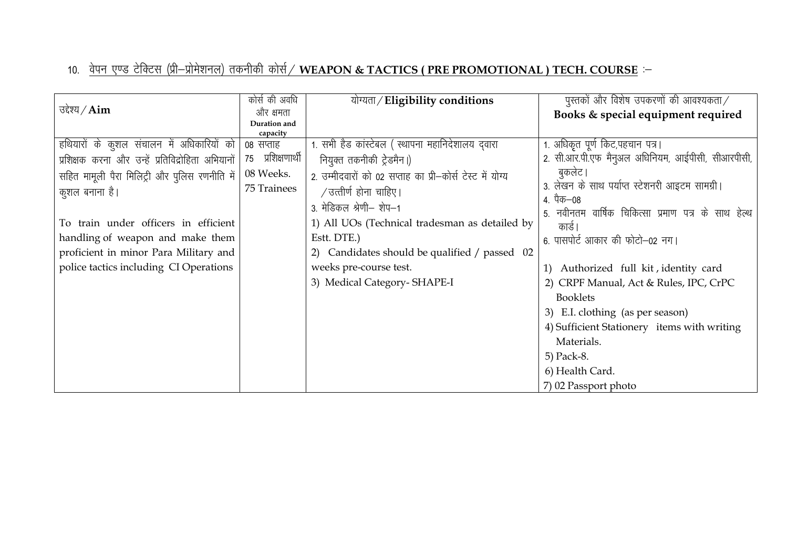|                                                   | कोर्स की अवधि     | योग्यता/Eligibility conditions                            | पुस्तकों और विशेष उपकरणों की आवश्यकता $\angle$      |
|---------------------------------------------------|-------------------|-----------------------------------------------------------|-----------------------------------------------------|
| उद्देश्य $\angle$ Aim                             | और क्षमता         |                                                           | Books & special equipment required                  |
|                                                   | Duration and      |                                                           |                                                     |
|                                                   | capacity          |                                                           |                                                     |
| हथियारों के कुशल संचालन में अधिकारियों को         | ०८ सप्ताह         | 1. सभी हैड कांस्टेबल ( स्थापना महानिदेशालय दवारा          | 1. अधिकृत पूर्ण किट,पहचान पत्र।                     |
| प्रशिक्षक करना और उन्हें प्रतिविद्रोहिता अभियानों | 75 प्रशिक्षणार्थी | नियुक्त तकनीकी ट्रेडमैन।)                                 | 2. सी.आर.पी.एफ मैन्अल अधिनियम, आईपीसी, सीआरपीसी,    |
| सहित मामूली पैरा मिलिट्री और पुलिस रणनीति में     | 08 Weeks.         | 2. उम्मीदवारों को 02 सप्ताह का प्री-कोर्स टेस्ट में योग्य | बुकलेट                                              |
| कुशल बनाना है।                                    | 75 Trainees       | / उत्तीर्ण होना चाहिए।                                    | 3. लेखन के साथ पर्याप्त स्टेशनरी आइटम सामग्री।      |
|                                                   |                   | 3. मेडिकल श्रेणी– शेप–1                                   | 4. पैक—08                                           |
|                                                   |                   |                                                           | 5. नवीनतम वार्षिक चिकित्सा प्रमाण पत्र के साथ हेल्थ |
| To train under officers in efficient              |                   | 1) All UOs (Technical tradesman as detailed by            | कार्ड                                               |
| handling of weapon and make them                  |                   | Estt. DTE.)                                               | 6. पासपोर्ट आकार की फोटो–02 नग।                     |
| proficient in minor Para Military and             |                   | 2) Candidates should be qualified / passed 02             |                                                     |
| police tactics including CI Operations            |                   | weeks pre-course test.                                    | 1) Authorized full kit, identity card               |
|                                                   |                   | 3) Medical Category-SHAPE-I                               | 2) CRPF Manual, Act & Rules, IPC, CrPC              |
|                                                   |                   |                                                           | <b>Booklets</b>                                     |
|                                                   |                   |                                                           | 3) E.I. clothing (as per season)                    |
|                                                   |                   |                                                           | 4) Sufficient Stationery items with writing         |
|                                                   |                   |                                                           | Materials.                                          |
|                                                   |                   |                                                           | 5) Pack-8.                                          |
|                                                   |                   |                                                           | 6) Health Card.                                     |
|                                                   |                   |                                                           | 7) 02 Passport photo                                |

## 10. <u>वेपन एण्ड टेक्टिस (प्री–प्रोमेशनल) तकनीकी कोर्स / WEAPON & TACTICS ( PRE PROMOTIONAL ) TECH. COURSE</u> :–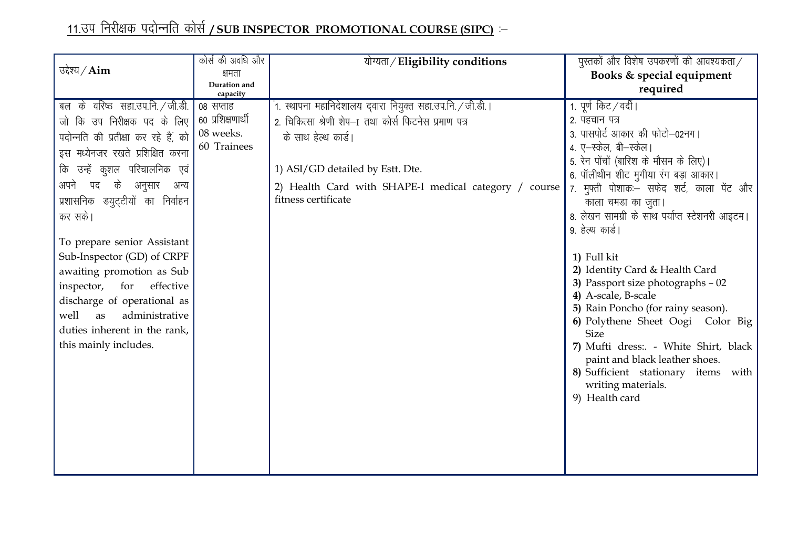# <u>11.उप निरीक्षक पदोन्नति कोर्स / SUB INSPECTOR PROMOTIONAL COURSE (SIPC)</u> :–

|                                      | कोर्स की अवधि और         | योग्यता/Eligibility conditions                             | पुस्तकों और विशेष उपकरणों की आवश्यकता $\angle$                          |
|--------------------------------------|--------------------------|------------------------------------------------------------|-------------------------------------------------------------------------|
| उद्देश्य / $Aim$                     | क्षमता                   |                                                            | Books & special equipment                                               |
|                                      | Duration and<br>capacity |                                                            | required                                                                |
| बल के वरिष्ठ सहा.उप.नि. / जी.डी.     | 08 सप्ताह                | 1. स्थापना महानिदेशालय द्वारा नियुक्त सहा.उप.नि. / जी.डी.। | 1. पूर्ण किट / वर्दी।                                                   |
| जो कि उप निरीक्षक पद के लिए          | 60 प्रशिक्षणार्थी        | 2. चिकित्सा श्रेणी शेप-1 तथा कोर्स फिटनेस प्रमाण पत्र      | 2. पहचान पत्र                                                           |
| पदोन्नति की प्रतीक्षा कर रहे हैं, को | 08 weeks.                | के साथ हेल्थ कार्ड।                                        | 3. पासपोर्ट आकार की फोटो-02नग।                                          |
| इस मध्येनजर रखते प्रशिक्षित करना     | 60 Trainees              |                                                            | 4. ए-स्केल, बी-स्केल।                                                   |
| कि उन्हें कुशल परिचालनिक एवं         |                          | 1) ASI/GD detailed by Estt. Dte.                           | 5. रेन पोंचों (बारिश के मौसम के लिए)।                                   |
| अपने पद के अनुसार अन्य               |                          | 2) Health Card with SHAPE-I medical category / course      | 6. पॉलीथीन शीट मुगीया रंग बड़ा आकार।                                    |
| प्रशासनिक डयुट्टीयों का निर्वाहन     |                          | fitness certificate                                        | 7. मुफ्ती पोशाकः सफेद शर्ट, काला पेंट और<br>काला चमडा का जुता।          |
| कर सके।                              |                          |                                                            | 8. लेखन सामग्री के साथ पर्याप्त स्टेशनरी आइटम।                          |
|                                      |                          |                                                            | 9. हेल्थ कार्ड।                                                         |
| To prepare senior Assistant          |                          |                                                            |                                                                         |
| Sub-Inspector (GD) of CRPF           |                          |                                                            | 1) Full kit                                                             |
| awaiting promotion as Sub            |                          |                                                            | 2) Identity Card & Health Card                                          |
| inspector,<br>for<br>effective       |                          |                                                            | 3) Passport size photographs - 02                                       |
| discharge of operational as          |                          |                                                            | 4) A-scale, B-scale                                                     |
| well<br>administrative<br>as         |                          |                                                            | 5) Rain Poncho (for rainy season).<br>6) Polythene Sheet Oogi Color Big |
| duties inherent in the rank,         |                          |                                                            | <b>Size</b>                                                             |
| this mainly includes.                |                          |                                                            | 7) Mufti dress: - White Shirt, black                                    |
|                                      |                          |                                                            | paint and black leather shoes.                                          |
|                                      |                          |                                                            | 8) Sufficient stationary items with                                     |
|                                      |                          |                                                            | writing materials.                                                      |
|                                      |                          |                                                            | 9) Health card                                                          |
|                                      |                          |                                                            |                                                                         |
|                                      |                          |                                                            |                                                                         |
|                                      |                          |                                                            |                                                                         |
|                                      |                          |                                                            |                                                                         |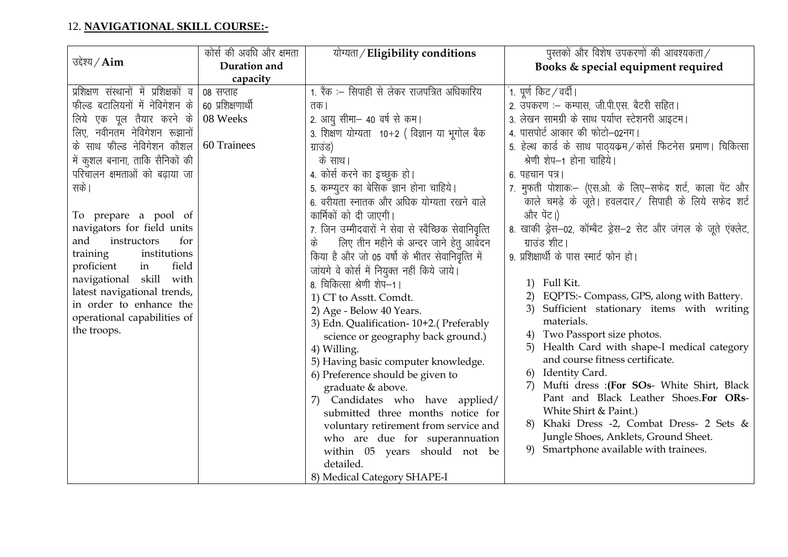### 12. NAVIGATIONAL SKILL COURSE:-

|                                       | कोर्स की अवधि और क्षमता | योग्यता / Eligibility conditions                     | पुस्तकों और विशेष उपकरणों की आवश्यकता $\times$                 |
|---------------------------------------|-------------------------|------------------------------------------------------|----------------------------------------------------------------|
| उद्देश्य $\angle$ Aim                 | Duration and            |                                                      | Books & special equipment required                             |
|                                       | capacity                |                                                      |                                                                |
| प्रशिक्षण संस्थानों में प्रशिक्षकों व | 08 सप्ताह               | 1. रैंक :- सिपाही से लेकर राजपत्रित अधिकारिय         | ं1. पूर्ण किट ∕ वर्दी।                                         |
| फील्ड बटालियनों में नेविगेशन के       | 60 प्रशिक्षणार्थी       | तक।                                                  | 2. उपकरण :- कम्पास, जी.पी.एस. बैटरी सहित।                      |
| लिये एक पूल तैयार करने के             | 08 Weeks                | 2. आयु सीमा– 40 वर्ष से कम।                          | 3. लेखन सामग्री के साथ पर्याप्त स्टेशनरी आइटम।                 |
| लिए, नवीनतम नेविगेशन रूझानों          |                         | 3. शिक्षण योग्यता 10+2 (विज्ञान या भूगोल बैक         | 4. पासपोर्ट आकार की फोटो–02नग।                                 |
| के साथ फील्ड नेविगेशन कौशल            | 60 Trainees             | ग्राउंड)                                             | 5. हेल्थ कार्ड के साथ पाठ्यक्रम/कोर्स फिटनेस प्रमाण। चिकित्सा  |
| में कुशल बनाना, ताकि सैनिकों की       |                         | के साथ।                                              | श्रेणी शेप-1 होना चाहिये।                                      |
| परिचालन क्षमताओं को बढाया जा          |                         | 4. कोर्स करने का इच्छुक हो।                          | 6. पहचान पत्र।                                                 |
| सके ।                                 |                         | 5. कम्प्युटर का बेसिक ज्ञान होना चाहिये।             | 7. मुफती पोशाकः –(एस.ओ. के लिए–सफेद शर्ट, काला पेंट और         |
|                                       |                         | 6. वरीयता स्नातक और अधिक योग्यता रखने वाले           | काले चमड़े के जूते। हवलदार/ सिपाही के लिये सफेद शर्ट           |
| To prepare a pool of                  |                         | कार्मिकों को दी जाएगी।                               | और पेंट।)                                                      |
| navigators for field units            |                         | 7. जिन उम्मीदवारों ने सेवा से स्वैच्छिक सेवानिवृत्ति | 8. खाकी ड्रेस—02, कॉम्बैट ड्रेस—2 सेट और जंगल के जूते एंक्लेट, |
| and<br>instructors<br>for             |                         | लिए तीन महीने के अन्दर जाने हेतु आवेदन<br>के         | ग्राउंड शीट।                                                   |
| training<br>institutions              |                         | किया है और जो 05 वर्षो के भीतर सेवानिवृत्ति में      | 9. प्रशिक्षार्थी के पास स्मार्ट फोन हो।                        |
| proficient<br>field<br>in             |                         | जांयगे वे कोर्स में नियुक्त नहीं किये जाये।          |                                                                |
| navigational skill with               |                         | 8. चिकित्सा श्रेणी शेप-1।                            | 1) Full Kit.                                                   |
| latest navigational trends,           |                         | 1) CT to Asstt. Comdt.                               | EQPTS:- Compass, GPS, along with Battery.                      |
| in order to enhance the               |                         | 2) Age - Below 40 Years.                             | Sufficient stationary items with writing<br>3)                 |
| operational capabilities of           |                         | 3) Edn. Qualification-10+2.(Preferably               | materials.                                                     |
| the troops.                           |                         | science or geography back ground.)                   | Two Passport size photos.                                      |
|                                       |                         | 4) Willing.                                          | Health Card with shape-I medical category<br>5)                |
|                                       |                         | 5) Having basic computer knowledge.                  | and course fitness certificate.                                |
|                                       |                         | 6) Preference should be given to                     | Identity Card.<br>6)                                           |
|                                       |                         | graduate & above.                                    | Mufti dress : (For SOs- White Shirt, Black                     |
|                                       |                         | Candidates who have applied/<br>7)                   | Pant and Black Leather Shoes.For ORs-                          |
|                                       |                         | submitted three months notice for                    | White Shirt & Paint.)                                          |
|                                       |                         | voluntary retirement from service and                | Khaki Dress -2, Combat Dress- 2 Sets &                         |
|                                       |                         | who are due for superannuation                       | Jungle Shoes, Anklets, Ground Sheet.                           |
|                                       |                         | within 05 years should not be                        | 9) Smartphone available with trainees.                         |
|                                       |                         | detailed.                                            |                                                                |
|                                       |                         | 8) Medical Category SHAPE-I                          |                                                                |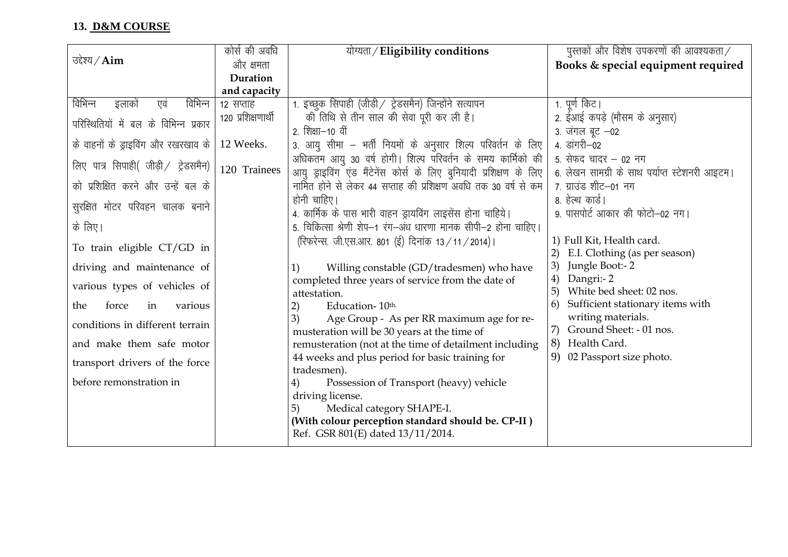### 13. D&M COURSE

|                                       | कोर्स की अवधि      | योग्यता/Eligibility conditions                                     | पुस्तकों और विशेष उपकरणों की आवश्यकता $\angle$ |
|---------------------------------------|--------------------|--------------------------------------------------------------------|------------------------------------------------|
| उद्देश्य $\angle$ Aim                 | और क्षमता          |                                                                    | Books & special equipment required             |
|                                       | Duration           |                                                                    |                                                |
|                                       | and capacity       |                                                                    |                                                |
| विभिन्न<br>विभिन्न<br>एवं<br>इलाकों   | 12 सप्ताह          | 1. इच्छुक सिपाही (जीडी / ट्रेडसमैन) जिन्होंने सत्यापन              | 1. पूर्ण किट।                                  |
| परिस्थितियों में बल के विभिन्न प्रकार | 120 प्रशिक्षणार्थी | की तिथि से तीन साल की सेवा पूरी कर ली है।                          | 2. ईआई कपड़े (मौसम के अनुसार)                  |
|                                       |                    | 2. शिक्षा—10 वीं                                                   | 3. जंगल बूट –02                                |
| के वाहनों के ड्राइविंग और रखरखाव के   | 12 Weeks.          | 3. आयु सीमा – भर्ती नियमों के अनुसार शिल्प परिवर्तन के लिए         | 4. डांगरी–02                                   |
| लिए पात्र सिपाही( जीड़ी / ट्रेडसमैन)  | 120 Trainees       | अधिकतम आयु 30 वर्ष होगी। शिल्प परिवर्तन के समय कार्मिको की         | 5. सेफद चादर – 02 नग                           |
|                                       |                    | आयु ड्राइविंग एंड मैंटेनेंस कोर्स के लिए बुनियादी प्रशिक्षण के लिए | 6. लेखन सामग्री के साथ पर्याप्त स्टेशनरी आइटम। |
| को प्रशिक्षित करने और उन्हें बल के    |                    | नामित होने से लेकर 44 सप्ताह की प्रशिक्षण अवधि तक 30 वर्ष से कम    | 7. ग्राउंड शीट–01 नग                           |
| सुरक्षित मोटर परिवहन चालक बनाने       |                    | होनी चाहिए।                                                        | 8. हेल्थ कार्ड।                                |
|                                       |                    | 4. कार्मिक के पास भारी वाहन ड्रायविंग लाइसेंस होना चाहिये।         | 9. पासपोर्ट आकार की फोटो–02 नग।                |
| के लिए।                               |                    | 5. चिकित्सा श्रेणी शेप–1 रंग–अंध धारणा मानक सीपी–2 होना चाहिए।     |                                                |
| To train eligible CT/GD in            |                    | (रिफरेन्स. जी.एस.आर. 801 (ई) दिनांक 13 / 11 / 2014)।               | 1) Full Kit, Health card.                      |
|                                       |                    |                                                                    | E.I. Clothing (as per season)                  |
| driving and maintenance of            |                    | Willing constable (GD/tradesmen) who have<br>1)                    | Jungle Boot:-2<br>3)                           |
| various types of vehicles of          |                    | completed three years of service from the date of                  | Dangri:- 2<br>4)                               |
|                                       |                    | attestation.                                                       | 5)<br>White bed sheet: 02 nos.                 |
| force<br>the<br>various<br>in         |                    | 2)<br>Education-10th.                                              | Sufficient stationary items with<br>6)         |
| conditions in different terrain       |                    | 3)<br>Age Group - As per RR maximum age for re-                    | writing materials.<br>Ground Sheet: - 01 nos.  |
|                                       |                    | musteration will be 30 years at the time of                        | 7)                                             |
| and make them safe motor              |                    | remusteration (not at the time of detailment including             | 8)<br>Health Card.                             |
| transport drivers of the force        |                    | 44 weeks and plus period for basic training for<br>tradesmen).     | 02 Passport size photo.<br>9)                  |
| before remonstration in               |                    | Possession of Transport (heavy) vehicle                            |                                                |
|                                       |                    | driving license.                                                   |                                                |
|                                       |                    | Medical category SHAPE-I.<br>5)                                    |                                                |
|                                       |                    | (With colour perception standard should be. CP-II)                 |                                                |
|                                       |                    | Ref. GSR 801(E) dated 13/11/2014.                                  |                                                |
|                                       |                    |                                                                    |                                                |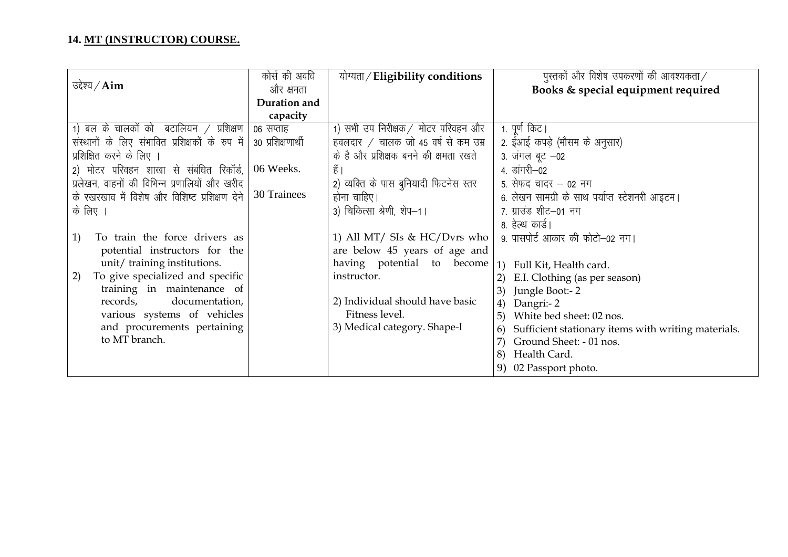|                                                 | कोर्स की अवधि     | योग्यता/Eligibility conditions         | पुस्तकों और विशेष उपकरणों की आवश्यकता $/$                 |
|-------------------------------------------------|-------------------|----------------------------------------|-----------------------------------------------------------|
| उद्देश्य $\angle$ Aim                           | और क्षमता         |                                        | Books & special equipment required                        |
|                                                 | Duration and      |                                        |                                                           |
|                                                 | capacity          |                                        |                                                           |
| 1) बल के चालकों को बटालियन / प्रशिक्षण          | ०६ सप्ताह         | 1) सभी उप निरीक्षक / मोटर परिवहन और    | 1. पूर्ण किट।                                             |
| संस्थानों के लिए संभावित प्रशिक्षकों के रुप में | 30 प्रशिक्षणार्थी | हवलदार / चालक जो 45 वर्ष से कम उम्र    | 2. ईआई कपड़े (मौसम के अनुसार)                             |
| प्रशिक्षित करने के लिए ।                        |                   | के है और प्रशिक्षक बनने की क्षमता रखते | 3. जंगल बूट -02                                           |
| 2) मोटर परिवहन शाखा से संबंधित रिकॉर्ड,         | 06 Weeks.         | हैं                                    | 4. डांगरी-02                                              |
| प्रलेखन, वाहनों की विभिन्न प्रणालियों और खरीद   |                   | 2) व्यक्ति के पास बुनियादी फिटनेस स्तर | 5. सेफद चादर – 02 नग                                      |
| के रखरखाव में विशेष और विशिष्ट प्रशिक्षण देने   | 30 Trainees       | होना चाहिए।                            | 6. लेखन सामग्री के साथ पर्याप्त स्टेशनरी आइटम।            |
| के लिए ।                                        |                   | 3) चिकित्सा श्रेणी, शेप-1।             | 7. ग्राउंड शीट–01 नग                                      |
|                                                 |                   |                                        | 8. हेल्थ कार्ड।                                           |
| To train the force drivers as<br>1)             |                   | 1) All MT/ SIs & HC/Dvrs who           | 9. पासपोर्ट आकार की फोटो-02 नग।                           |
| potential instructors for the                   |                   | are below 45 years of age and          |                                                           |
| unit/ training institutions.                    |                   | having potential to become             | 1) Full Kit, Health card.                                 |
| To give specialized and specific<br>2)          |                   | instructor.                            | E.I. Clothing (as per season)<br>2)                       |
| training in maintenance of                      |                   |                                        | Jungle Boot:-2<br>3)                                      |
| records,<br>documentation,                      |                   | 2) Individual should have basic        | Dangri:- 2<br>4)                                          |
| various systems of vehicles                     |                   | Fitness level.                         | White bed sheet: 02 nos.<br>5)                            |
| and procurements pertaining                     |                   | 3) Medical category. Shape-I           | Sufficient stationary items with writing materials.<br>6) |
| to MT branch.                                   |                   |                                        | Ground Sheet: - 01 nos.                                   |
|                                                 |                   |                                        | Health Card.<br>8)                                        |
|                                                 |                   |                                        | 9) 02 Passport photo.                                     |